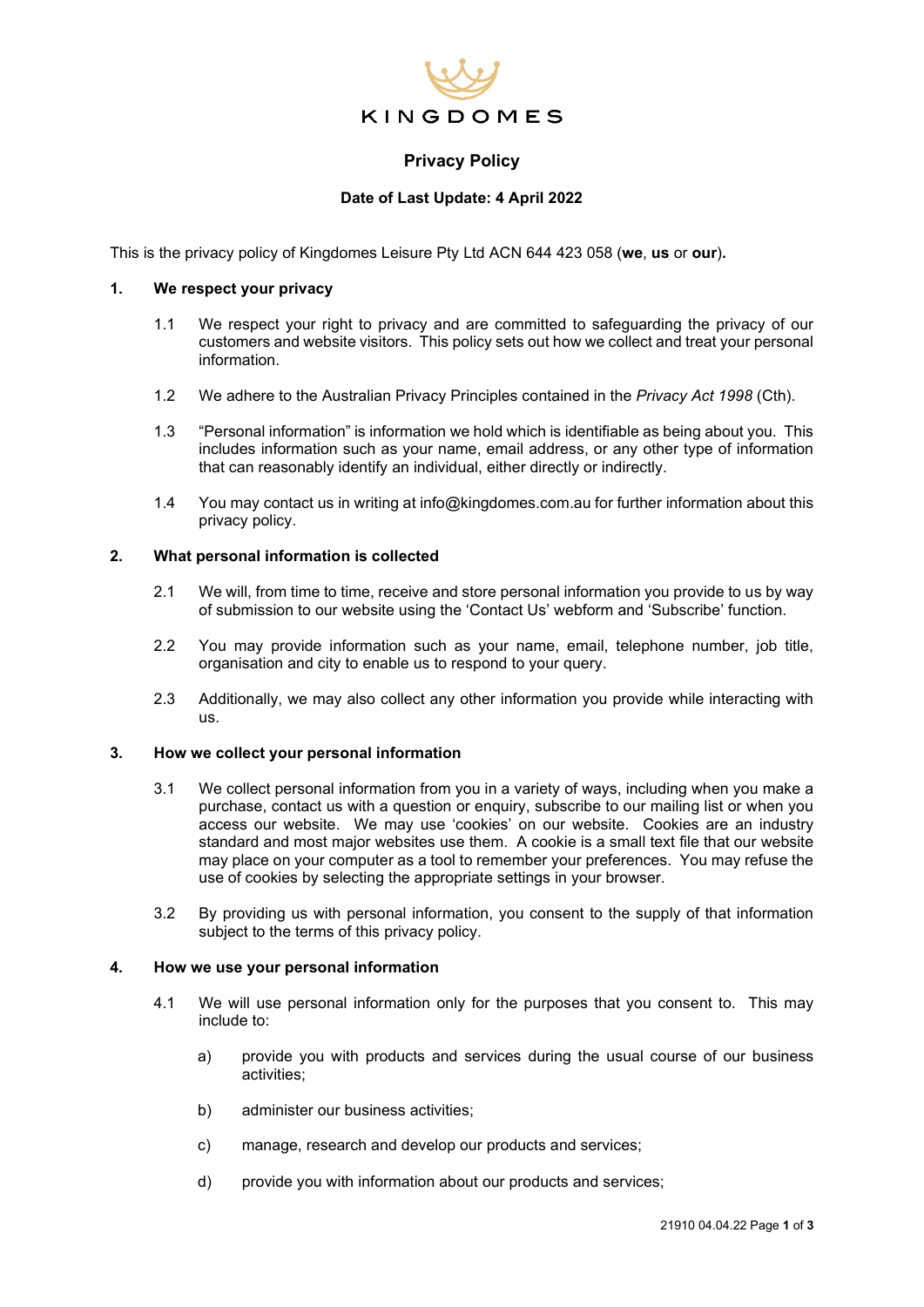

# **Privacy Policy**

## **Date of Last Update: 4 April 2022**

This is the privacy policy of Kingdomes Leisure Pty Ltd ACN 644 423 058 (**we**, **us** or **our**)**.**

### **1. We respect your privacy**

- 1.1 We respect your right to privacy and are committed to safeguarding the privacy of our customers and website visitors. This policy sets out how we collect and treat your personal information.
- 1.2 We adhere to the Australian Privacy Principles contained in the *Privacy Act 1998* (Cth).
- 1.3 "Personal information" is information we hold which is identifiable as being about you. This includes information such as your name, email address, or any other type of information that can reasonably identify an individual, either directly or indirectly.
- 1.4 You may contact us in writing at info@kingdomes.com.au for further information about this privacy policy.

### **2. What personal information is collected**

- 2.1 We will, from time to time, receive and store personal information you provide to us by way of submission to our website using the 'Contact Us' webform and 'Subscribe' function.
- 2.2 You may provide information such as your name, email, telephone number, job title, organisation and city to enable us to respond to your query.
- 2.3 Additionally, we may also collect any other information you provide while interacting with us.

### **3. How we collect your personal information**

- 3.1 We collect personal information from you in a variety of ways, including when you make a purchase, contact us with a question or enquiry, subscribe to our mailing list or when you access our website. We may use 'cookies' on our website. Cookies are an industry standard and most major websites use them. A cookie is a small text file that our website may place on your computer as a tool to remember your preferences. You may refuse the use of cookies by selecting the appropriate settings in your browser.
- 3.2 By providing us with personal information, you consent to the supply of that information subject to the terms of this privacy policy.

### **4. How we use your personal information**

- 4.1 We will use personal information only for the purposes that you consent to. This may include to:
	- a) provide you with products and services during the usual course of our business activities;
	- b) administer our business activities;
	- c) manage, research and develop our products and services;
	- d) provide you with information about our products and services;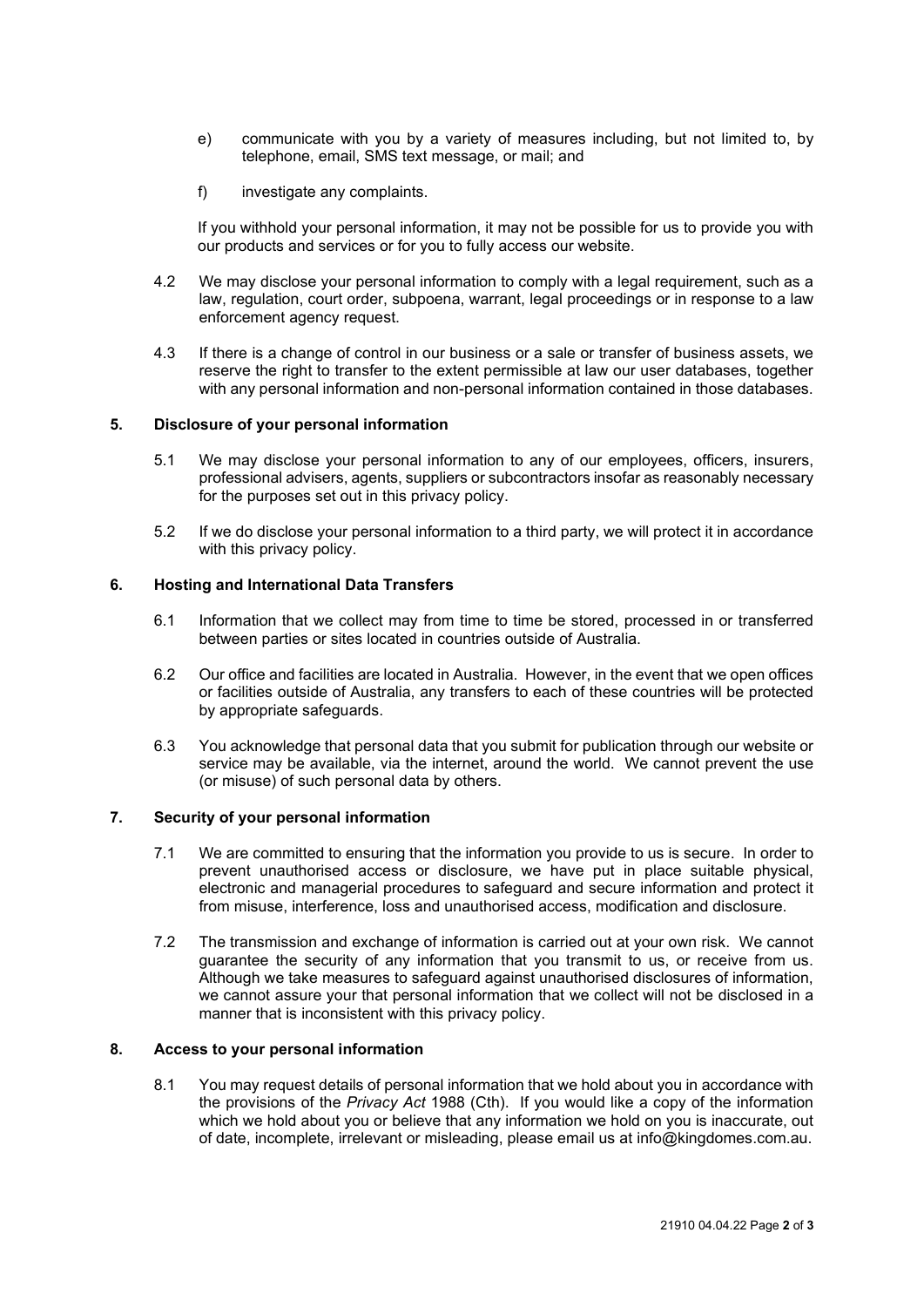- e) communicate with you by a variety of measures including, but not limited to, by telephone, email, SMS text message, or mail; and
- f) investigate any complaints.

If you withhold your personal information, it may not be possible for us to provide you with our products and services or for you to fully access our website.

- 4.2 We may disclose your personal information to comply with a legal requirement, such as a law, regulation, court order, subpoena, warrant, legal proceedings or in response to a law enforcement agency request.
- 4.3 If there is a change of control in our business or a sale or transfer of business assets, we reserve the right to transfer to the extent permissible at law our user databases, together with any personal information and non-personal information contained in those databases.

### **5. Disclosure of your personal information**

- 5.1 We may disclose your personal information to any of our employees, officers, insurers, professional advisers, agents, suppliers or subcontractors insofar as reasonably necessary for the purposes set out in this privacy policy.
- 5.2 If we do disclose your personal information to a third party, we will protect it in accordance with this privacy policy.

## **6. Hosting and International Data Transfers**

- 6.1 Information that we collect may from time to time be stored, processed in or transferred between parties or sites located in countries outside of Australia.
- 6.2 Our office and facilities are located in Australia. However, in the event that we open offices or facilities outside of Australia, any transfers to each of these countries will be protected by appropriate safeguards.
- 6.3 You acknowledge that personal data that you submit for publication through our website or service may be available, via the internet, around the world. We cannot prevent the use (or misuse) of such personal data by others.

## **7. Security of your personal information**

- 7.1 We are committed to ensuring that the information you provide to us is secure. In order to prevent unauthorised access or disclosure, we have put in place suitable physical, electronic and managerial procedures to safeguard and secure information and protect it from misuse, interference, loss and unauthorised access, modification and disclosure.
- 7.2 The transmission and exchange of information is carried out at your own risk. We cannot guarantee the security of any information that you transmit to us, or receive from us. Although we take measures to safeguard against unauthorised disclosures of information, we cannot assure your that personal information that we collect will not be disclosed in a manner that is inconsistent with this privacy policy.

### **8. Access to your personal information**

8.1 You may request details of personal information that we hold about you in accordance with the provisions of the *Privacy Act* 1988 (Cth). If you would like a copy of the information which we hold about you or believe that any information we hold on you is inaccurate, out of date, incomplete, irrelevant or misleading, please email us at info@kingdomes.com.au.